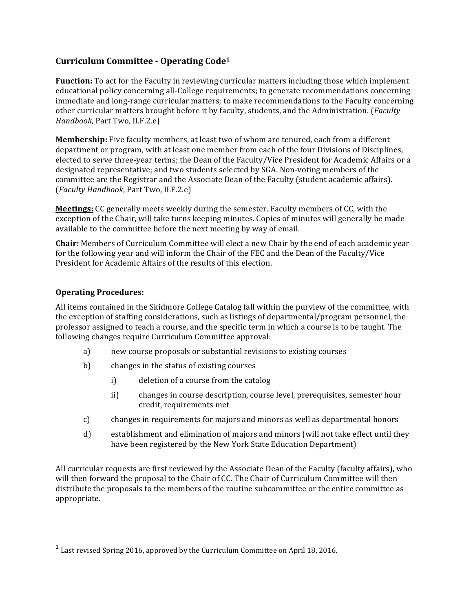# **Curriculum Committee - Operating Code1**

**Function:** To act for the Faculty in reviewing curricular matters including those which implement educational policy concerning all-College requirements; to generate recommendations concerning immediate and long-range curricular matters; to make recommendations to the Faculty concerning other curricular matters brought before it by faculty, students, and the Administration. (*Faculty Handbook*, Part Two, II.F.2.e)

**Membership:** Five faculty members, at least two of whom are tenured, each from a different department or program, with at least one member from each of the four Divisions of Disciplines, elected to serve three-year terms; the Dean of the Faculty/Vice President for Academic Affairs or a designated representative; and two students selected by SGA. Non-voting members of the committee are the Registrar and the Associate Dean of the Faculty (student academic affairs). (*Faculty Handbook*, Part Two, II.F.2.e)

**Meetings:** CC generally meets weekly during the semester. Faculty members of CC, with the exception of the Chair, will take turns keeping minutes. Copies of minutes will generally be made available to the committee before the next meeting by way of email.

**Chair:** Members of Curriculum Committee will elect a new Chair by the end of each academic year for the following year and will inform the Chair of the FEC and the Dean of the Faculty/Vice President for Academic Affairs of the results of this election.

#### **Operating Procedures:**

 

All items contained in the Skidmore College Catalog fall within the purview of the committee, with the exception of staffing considerations, such as listings of departmental/program personnel, the professor assigned to teach a course, and the specific term in which a course is to be taught. The following changes require Curriculum Committee approval:

- a) new course proposals or substantial revisions to existing courses
- b) changes in the status of existing courses
	- i) deletion of a course from the catalog
	- ii) changes in course description, course level, prerequisites, semester hour credit, requirements met
- c) changes in requirements for majors and minors as well as departmental honors
- d) establishment and elimination of majors and minors (will not take effect until they have been registered by the New York State Education Department)

All curricular requests are first reviewed by the Associate Dean of the Faculty (faculty affairs), who will then forward the proposal to the Chair of CC. The Chair of Curriculum Committee will then distribute the proposals to the members of the routine subcommittee or the entire committee as appropriate.

 $^1$  Last revised Spring 2016, approved by the Curriculum Committee on April 18, 2016.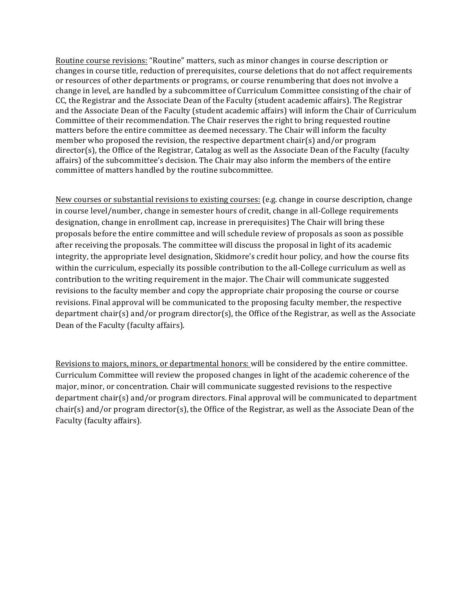Routine course revisions: "Routine" matters, such as minor changes in course description or changes in course title, reduction of prerequisites, course deletions that do not affect requirements or resources of other departments or programs, or course renumbering that does not involve a change in level, are handled by a subcommittee of Curriculum Committee consisting of the chair of CC, the Registrar and the Associate Dean of the Faculty (student academic affairs). The Registrar and the Associate Dean of the Faculty (student academic affairs) will inform the Chair of Curriculum Committee of their recommendation. The Chair reserves the right to bring requested routine matters before the entire committee as deemed necessary. The Chair will inform the faculty member who proposed the revision, the respective department chair(s) and/or program  $director(s)$ , the Office of the Registrar, Catalog as well as the Associate Dean of the Faculty (faculty affairs) of the subcommittee's decision. The Chair may also inform the members of the entire committee of matters handled by the routine subcommittee.

New courses or substantial revisions to existing courses: (e.g. change in course description, change in course level/number, change in semester hours of credit, change in all-College requirements designation, change in enrollment cap, increase in prerequisites) The Chair will bring these proposals before the entire committee and will schedule review of proposals as soon as possible after receiving the proposals. The committee will discuss the proposal in light of its academic integrity, the appropriate level designation, Skidmore's credit hour policy, and how the course fits within the curriculum, especially its possible contribution to the all-College curriculum as well as contribution to the writing requirement in the major. The Chair will communicate suggested revisions to the faculty member and copy the appropriate chair proposing the course or course revisions. Final approval will be communicated to the proposing faculty member, the respective department chair(s) and/or program director(s), the Office of the Registrar, as well as the Associate Dean of the Faculty (faculty affairs).

Revisions to majors, minors, or departmental honors: will be considered by the entire committee. Curriculum Committee will review the proposed changes in light of the academic coherence of the major, minor, or concentration. Chair will communicate suggested revisions to the respective department chair(s) and/or program directors. Final approval will be communicated to department chair(s) and/or program director(s), the Office of the Registrar, as well as the Associate Dean of the Faculty (faculty affairs).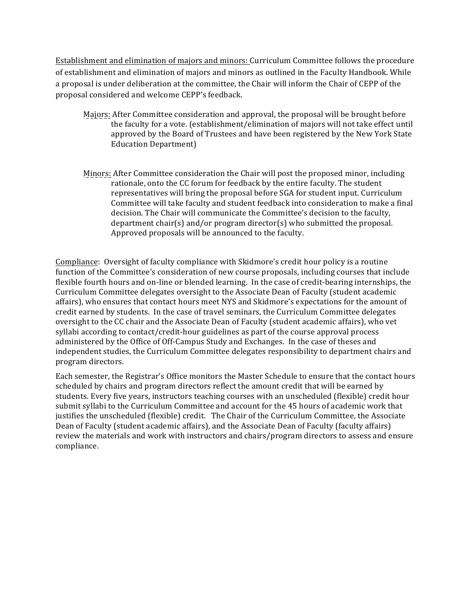Establishment and elimination of majors and minors: Curriculum Committee follows the procedure of establishment and elimination of majors and minors as outlined in the Faculty Handbook. While a proposal is under deliberation at the committee, the Chair will inform the Chair of CEPP of the proposal considered and welcome CEPP's feedback.

- Majors: After Committee consideration and approval, the proposal will be brought before the faculty for a vote. (establishment/elimination of majors will not take effect until approved by the Board of Trustees and have been registered by the New York State Education Department)
- Minors: After Committee consideration the Chair will post the proposed minor, including rationale, onto the CC forum for feedback by the entire faculty. The student representatives will bring the proposal before SGA for student input. Curriculum Committee will take faculty and student feedback into consideration to make a final decision. The Chair will communicate the Committee's decision to the faculty, department chair(s) and/or program director(s) who submitted the proposal. Approved proposals will be announced to the faculty.

Compliance: Oversight of faculty compliance with Skidmore's credit hour policy is a routine function of the Committee's consideration of new course proposals, including courses that include flexible fourth hours and on-line or blended learning. In the case of credit-bearing internships, the Curriculum Committee delegates oversight to the Associate Dean of Faculty (student academic affairs), who ensures that contact hours meet NYS and Skidmore's expectations for the amount of credit earned by students. In the case of travel seminars, the Curriculum Committee delegates oversight to the CC chair and the Associate Dean of Faculty (student academic affairs), who vet syllabi according to contact/credit-hour guidelines as part of the course approval process administered by the Office of Off-Campus Study and Exchanges. In the case of theses and independent studies, the Curriculum Committee delegates responsibility to department chairs and program directors. 

Each semester, the Registrar's Office monitors the Master Schedule to ensure that the contact hours scheduled by chairs and program directors reflect the amount credit that will be earned by students. Every five years, instructors teaching courses with an unscheduled (flexible) credit hour submit syllabi to the Curriculum Committee and account for the 45 hours of academic work that justifies the unscheduled (flexible) credit. The Chair of the Curriculum Committee, the Associate Dean of Faculty (student academic affairs), and the Associate Dean of Faculty (faculty affairs) review the materials and work with instructors and chairs/program directors to assess and ensure compliance.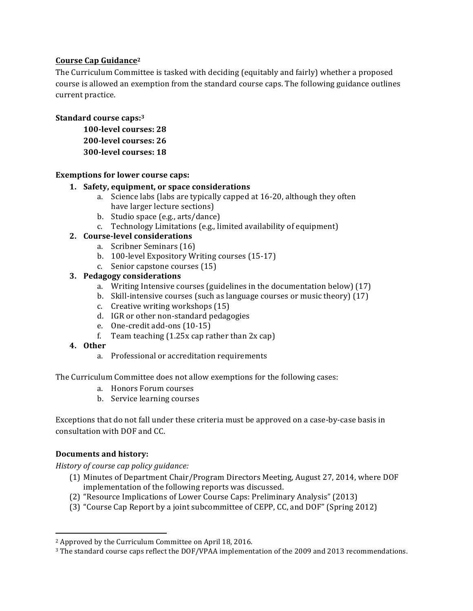# **Course Cap Guidance2**

The Curriculum Committee is tasked with deciding (equitably and fairly) whether a proposed course is allowed an exemption from the standard course caps. The following guidance outlines current practice.

#### Standard course caps:<sup>3</sup>

**100-level courses: 28 200-level courses: 26 300-level courses: 18**

#### **Exemptions for lower course caps:**

#### 1. Safety, equipment, or space considerations

- a. Science labs (labs are typically capped at 16-20, although they often have larger lecture sections)
- b. Studio space (e.g., arts/dance)
- c. Technology Limitations (e.g., limited availability of equipment)

#### **2. Course-level considerations**

- a. Scribner Seminars (16)
- b. 100-level Expository Writing courses (15-17)
- c. Senior capstone courses (15)

### **3. Pedagogy considerations**

- a. Writing Intensive courses (guidelines in the documentation below) (17)
- b. Skill-intensive courses (such as language courses or music theory)  $(17)$
- c. Creative writing workshops  $(15)$
- d. IGR or other non-standard pedagogies
- e. One-credit add-ons (10-15)
- f. Team teaching  $(1.25x \text{ cap } \text{rather than } 2x \text{ cap})$

#### **4. Other**

a. Professional or accreditation requirements

The Curriculum Committee does not allow exemptions for the following cases:

- a. Honors Forum courses
- b. Service learning courses

Exceptions that do not fall under these criteria must be approved on a case-by-case basis in consultation with DOF and CC.

# **Documents and history:**

<u> 1989 - Johann Stein, fransk politik (d. 1989)</u>

*History of course cap policy guidance:* 

- (1) Minutes of Department Chair/Program Directors Meeting, August 27, 2014, where DOF implementation of the following reports was discussed.
- (2) "Resource Implications of Lower Course Caps: Preliminary Analysis" (2013)
- (3) "Course Cap Report by a joint subcommittee of CEPP, CC, and DOF" (Spring 2012)

<sup>&</sup>lt;sup>2</sup> Approved by the Curriculum Committee on April 18, 2016.

 $3$  The standard course caps reflect the DOF/VPAA implementation of the 2009 and 2013 recommendations.